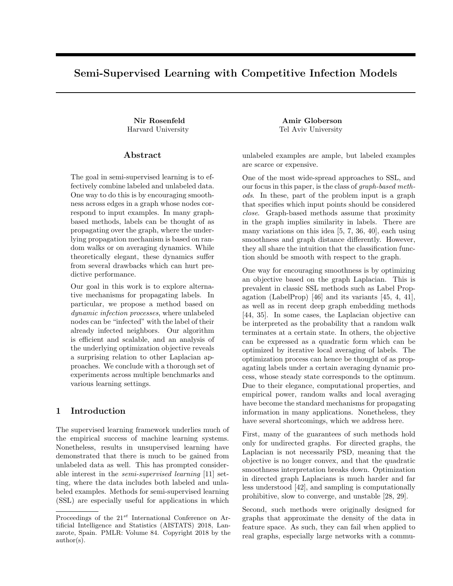# Semi-Supervised Learning with Competitive Infection Models

### Abstract

The goal in semi-supervised learning is to effectively combine labeled and unlabeled data. One way to do this is by encouraging smoothness across edges in a graph whose nodes correspond to input examples. In many graphbased methods, labels can be thought of as propagating over the graph, where the underlying propagation mechanism is based on random walks or on averaging dynamics. While theoretically elegant, these dynamics suffer from several drawbacks which can hurt predictive performance.

Our goal in this work is to explore alternative mechanisms for propagating labels. In particular, we propose a method based on dynamic infection processes, where unlabeled nodes can be "infected" with the label of their already infected neighbors. Our algorithm is efficient and scalable, and an analysis of the underlying optimization objective reveals a surprising relation to other Laplacian approaches. We conclude with a thorough set of experiments across multiple benchmarks and various learning settings.

# 1 Introduction

The supervised learning framework underlies much of the empirical success of machine learning systems. Nonetheless, results in unsupervised learning have demonstrated that there is much to be gained from unlabeled data as well. This has prompted considerable interest in the semi-supervised learning [11] setting, where the data includes both labeled and unlabeled examples. Methods for semi-supervised learning (SSL) are especially useful for applications in which

Nir Rosenfeld Amir Globerson Harvard University Tel Aviv University

> unlabeled examples are ample, but labeled examples are scarce or expensive.

> One of the most wide-spread approaches to SSL, and our focus in this paper, is the class of graph-based methods. In these, part of the problem input is a graph that specifies which input points should be considered close. Graph-based methods assume that proximity in the graph implies similarity in labels. There are many variations on this idea [5, 7, 36, 40], each using smoothness and graph distance differently. However, they all share the intuition that the classification function should be smooth with respect to the graph.

> One way for encouraging smoothness is by optimizing an objective based on the graph Laplacian. This is prevalent in classic SSL methods such as Label Propagation (LabelProp) [46] and its variants [45, 4, 41], as well as in recent deep graph embedding methods [44, 35]. In some cases, the Laplacian objective can be interpreted as the probability that a random walk terminates at a certain state. In others, the objective can be expressed as a quadratic form which can be optimized by iterative local averaging of labels. The optimization process can hence be thought of as propagating labels under a certain averaging dynamic process, whose steady state corresponds to the optimum. Due to their elegance, computational properties, and empirical power, random walks and local averaging have become the standard mechanisms for propagating information in many applications. Nonetheless, they have several shortcomings, which we address here.

> First, many of the guarantees of such methods hold only for undirected graphs. For directed graphs, the Laplacian is not necessarily PSD, meaning that the objective is no longer convex, and that the quadratic smoothness interpretation breaks down. Optimization in directed graph Laplacians is much harder and far less understood [42], and sampling is computationally prohibitive, slow to converge, and unstable [28, 29].

> Second, such methods were originally designed for graphs that approximate the density of the data in feature space. As such, they can fail when applied to real graphs, especially large networks with a commu-

Proceedings of the  $21^{st}$  International Conference on Artificial Intelligence and Statistics (AISTATS) 2018, Lanzarote, Spain. PMLR: Volume 84. Copyright 2018 by the author(s).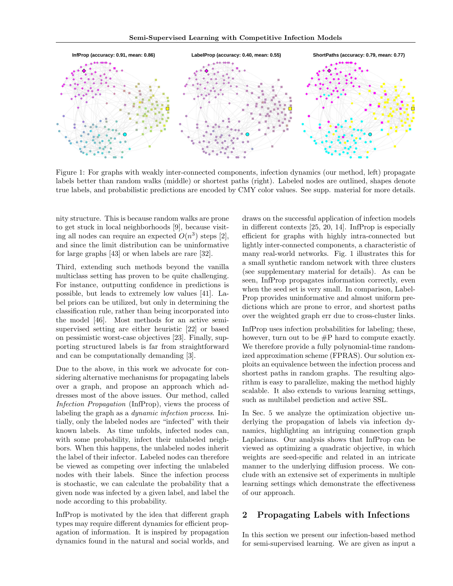

Figure 1: For graphs with weakly inter-connected components, infection dynamics (our method, left) propagate labels better than random walks (middle) or shortest paths (right). Labeled nodes are outlined, shapes denote true labels, and probabilistic predictions are encoded by CMY color values. See supp. material for more details.

nity structure. This is because random walks are prone to get stuck in local neighborhoods [9], because visiting all nodes can require an expected  $O(n^3)$  steps [2], and since the limit distribution can be uninformative for large graphs [43] or when labels are rare [32].

Third, extending such methods beyond the vanilla multiclass setting has proven to be quite challenging. For instance, outputting confidence in predictions is possible, but leads to extremely low values [41]. Label priors can be utilized, but only in determining the classification rule, rather than being incorporated into the model [46]. Most methods for an active semisupervised setting are either heuristic [22] or based on pessimistic worst-case objectives [23]. Finally, supporting structured labels is far from straightforward and can be computationally demanding [3].

Due to the above, in this work we advocate for considering alternative mechanisms for propagating labels over a graph, and propose an approach which addresses most of the above issues. Our method, called Infection Propagation (InfProp), views the process of labeling the graph as a dynamic infection process. Initially, only the labeled nodes are "infected" with their known labels. As time unfolds, infected nodes can, with some probability, infect their unlabeled neighbors. When this happens, the unlabeled nodes inherit the label of their infector. Labeled nodes can therefore be viewed as competing over infecting the unlabeled nodes with their labels. Since the infection process is stochastic, we can calculate the probability that a given node was infected by a given label, and label the node according to this probability.

InfProp is motivated by the idea that different graph types may require different dynamics for efficient propagation of information. It is inspired by propagation dynamics found in the natural and social worlds, and

draws on the successful application of infection models in different contexts [25, 20, 14]. InfProp is especially efficient for graphs with highly intra-connected but lightly inter-connected components, a characteristic of many real-world networks. Fig. 1 illustrates this for a small synthetic random network with three clusters (see supplementary material for details). As can be seen, InfProp propagates information correctly, even when the seed set is very small. In comparison, Label-Prop provides uninformative and almost uniform predictions which are prone to error, and shortest paths over the weighted graph err due to cross-cluster links.

InfProp uses infection probabilities for labeling; these, however, turn out to be #P hard to compute exactly. We therefore provide a fully polynomial-time randomized approximation scheme (FPRAS). Our solution exploits an equivalence between the infection process and shortest paths in random graphs. The resulting algorithm is easy to parallelize, making the method highly scalable. It also extends to various learning settings, such as multilabel prediction and active SSL.

In Sec. 5 we analyze the optimization objective underlying the propagation of labels via infection dynamics, highlighting an intriguing connection graph Laplacians. Our analysis shows that InfProp can be viewed as optimizing a quadratic objective, in which weights are seed-specific and related in an intricate manner to the underlying diffusion process. We conclude with an extensive set of experiments in multiple learning settings which demonstrate the effectiveness of our approach.

## 2 Propagating Labels with Infections

In this section we present our infection-based method for semi-supervised learning. We are given as input a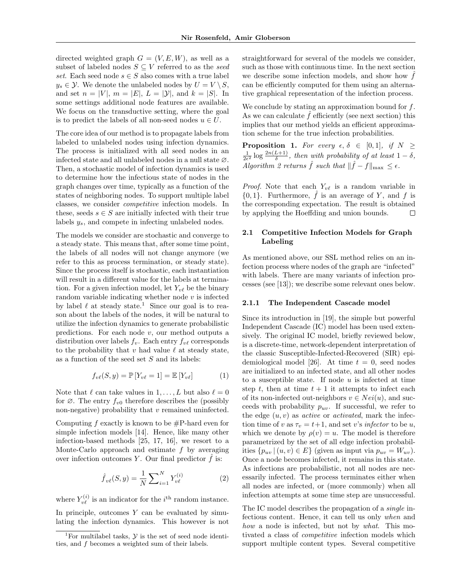directed weighted graph  $G = (V, E, W)$ , as well as a subset of labeled nodes  $S \subseteq V$  referred to as the seed set. Each seed node  $s \in S$  also comes with a true label  $y_s \in \mathcal{Y}$ . We denote the unlabeled nodes by  $U = V \setminus S$ , and set  $n = |V|$ ,  $m = |E|$ ,  $L = |\mathcal{Y}|$ , and  $k = |S|$ . In some settings additional node features are available. We focus on the transductive setting, where the goal is to predict the labels of all non-seed nodes  $u \in U$ .

The core idea of our method is to propagate labels from labeled to unlabeled nodes using infection dynamics. The process is initialized with all seed nodes in an infected state and all unlabeled nodes in a null state ∅. Then, a stochastic model of infection dynamics is used to determine how the infectious state of nodes in the graph changes over time, typically as a function of the states of neighboring nodes. To support multiple label classes, we consider competitive infection models. In these, seeds  $s \in S$  are initially infected with their true labels ys, and compete in infecting unlabeled nodes.

The models we consider are stochastic and converge to a steady state. This means that, after some time point, the labels of all nodes will not change anymore (we refer to this as process termination, or steady state). Since the process itself is stochastic, each instantiation will result in a different value for the labels at termination. For a given infection model, let  $Y_{\nu\ell}$  be the binary random variable indicating whether node  $v$  is infected by label  $\ell$  at steady state.<sup>1</sup> Since our goal is to reason about the labels of the nodes, it will be natural to utilize the infection dynamics to generate probabilistic predictions. For each node  $v$ , our method outputs a distribution over labels  $f_v$ . Each entry  $f_{v\ell}$  corresponds to the probability that  $v$  had value  $\ell$  at steady state, as a function of the seed set  $S$  and its labels:

$$
f_{\nu\ell}(S, y) = \mathbb{P}\left[Y_{\nu\ell} = 1\right] = \mathbb{E}\left[Y_{\nu\ell}\right] \tag{1}
$$

Note that  $\ell$  can take values in  $1, \ldots, L$  but also  $\ell = 0$ for  $\varnothing$ . The entry  $f_{v0}$  therefore describes the (possibly non-negative) probability that  $v$  remained uninfected.

Computing  $f$  exactly is known to be  $\#P$ -hard even for simple infection models [14]. Hence, like many other infection-based methods [25, 17, 16], we resort to a Monte-Carlo approach and estimate  $f$  by averaging over infection outcomes Y. Our final predictor  $\hat{f}$  is:

$$
\hat{f}_{v\ell}(S, y) = \frac{1}{N} \sum_{i=1}^{N} Y_{v\ell}^{(i)} \tag{2}
$$

where  $Y_{\nu\ell}^{(i)}$  is an indicator for the  $i^{\text{th}}$  random instance. In principle, outcomes  $Y$  can be evaluated by simulating the infection dynamics. This however is not

straightforward for several of the models we consider, such as those with continuous time. In the next section we describe some infection models, and show how  $f$ can be efficiently computed for them using an alternative graphical representation of the infection process.

We conclude by stating an approximation bound for f. As we can calculate  $\hat{f}$  efficiently (see next section) this implies that our method yields an efficient approximation scheme for the true infection probabilities.

**Proposition 1.** For every  $\epsilon, \delta \in [0,1],$  if  $N \geq$  $\frac{1}{2\epsilon^2} \log \frac{2n(L+1)}{\delta}$ , then with probability of at least  $1-\delta$ , Algorithm 2 returns  $\hat{f}$  such that  $\|\hat{f} - f\|_{\max} \leq \epsilon$ .

*Proof.* Note that each  $Y_{\nu\ell}$  is a random variable in  $\{0,1\}$ . Furthermore,  $\hat{f}$  is an average of Y, and f is the corresponding expectation. The result is obtained by applying the Hoeffding and union bounds.  $\Box$ 

#### 2.1 Competitive Infection Models for Graph Labeling

As mentioned above, our SSL method relies on an infection process where nodes of the graph are "infected" with labels. There are many variants of infection processes (see [13]); we describe some relevant ones below.

#### 2.1.1 The Independent Cascade model

Since its introduction in [19], the simple but powerful Independent Cascade (IC) model has been used extensively. The original IC model, briefly reviewed below, is a discrete-time, network-dependent interpretation of the classic Susceptible-Infected-Recovered (SIR) epidemiological model [26]. At time  $t = 0$ , seed nodes are initialized to an infected state, and all other nodes to a susceptible state. If node  $u$  is infected at time step t, then at time  $t + 1$  it attempts to infect each of its non-infected out-neighbors  $v \in Nei(u)$ , and succeeds with probability  $p_{uv}$ . If successful, we refer to the edge  $(u, v)$  as *active* or *activated*, mark the infection time of v as  $\tau_v = t+1$ , and set v's *infector* to be u, which we denote by  $\rho(v) = u$ . The model is therefore parametrized by the set of all edge infection probabilities  $\{p_{uv} | (u, v) \in E\}$  (given as input via  $p_{uv} = W_{uv}$ ). Once a node becomes infected, it remains in this state. As infections are probabilistic, not all nodes are necessarily infected. The process terminates either when all nodes are infected, or (more commonly) when all infection attempts at some time step are unsuccessful.

The IC model describes the propagation of a single infectious content. Hence, it can tell us only when and how a node is infected, but not by what. This motivated a class of competitive infection models which support multiple content types. Several competitive

<sup>&</sup>lt;sup>1</sup>For multilabel tasks,  $\mathcal Y$  is the set of seed node identities, and f becomes a weighted sum of their labels.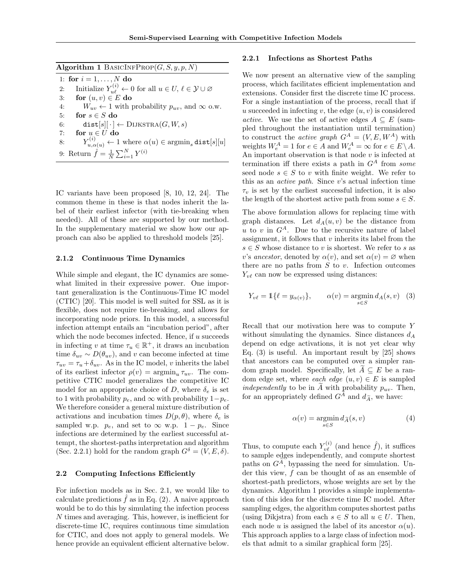Algorithm 1 BASICINFPROP $(G, S, y, p, N)$ 

1: for  $i = 1, ..., N$  do 2: Initialize  $Y_{u\ell}^{(i)} \leftarrow 0$  for all  $u \in U, \ell \in \mathcal{Y} \cup \varnothing$ 3: for  $(u, v) \in E$  do 4:  $W_{uv} \leftarrow 1$  with probability  $p_{uv}$ , and  $\infty$  o.w. 5: for  $s \in S$  do 6: dist[s][ $\cdot$ ]  $\leftarrow$  DIJKSTRA(G, W, s) 7: for  $u \in U$  do  $8: \qquad Y_{u,\alpha(u)}^{(i)} \leftarrow 1 \text{ where } \alpha(u) \in \text{argmin}_s \, \texttt{dist}[s][u]$ 9: Return  $\hat{f} = \frac{1}{N} \sum_{i=1}^{N} Y^{(i)}$ 

IC variants have been proposed [8, 10, 12, 24]. The common theme in these is that nodes inherit the label of their earliest infector (with tie-breaking when needed). All of these are supported by our method. In the supplementary material we show how our approach can also be applied to threshold models [25].

#### 2.1.2 Continuous Time Dynamics

While simple and elegant, the IC dynamics are somewhat limited in their expressive power. One important generalization is the Continuous-Time IC model (CTIC) [20]. This model is well suited for SSL as it is flexible, does not require tie-breaking, and allows for incorporating node priors. In this model, a successful infection attempt entails an "incubation period", after which the node becomes infected. Hence, if  $u$  succeeds in infecting v at time  $\tau_u \in \mathbb{R}^+$ , it draws an incubation time  $\delta_{uv} \sim D(\theta_{uv})$ , and v can become infected at time  $\tau_{uv} = \tau_u + \delta_{uv}.$  As in the IC model,  $v$  inherits the label of its earliest infector  $\rho(v) = \operatorname{argmin}_u \tau_{uv}$ . The competitive CTIC model generalizes the competitive IC model for an appropriate choice of D, where  $\delta_e$  is set to 1 with probability  $p_e$ , and  $\infty$  with probability  $1-p_e$ . We therefore consider a general mixture distribution of activations and incubation times  $D(p, \theta)$ , where  $\delta_e$  is sampled w.p.  $p_e$ , and set to  $\infty$  w.p.  $1 - p_e$ . Since infections are determined by the earliest successful attempt, the shortest-paths interpretation and algorithm (Sec. 2.2.1) hold for the random graph  $G^{\delta} = (V, E, \delta)$ .

#### 2.2 Computing Infections Efficiently

For infection models as in Sec. 2.1, we would like to calculate predictions  $\hat{f}$  as in Eq. (2). A naive approach would be to do this by simulating the infection process N times and averaging. This, however, is inefficient for discrete-time IC, requires continuous time simulation for CTIC, and does not apply to general models. We hence provide an equivalent efficient alternative below.

#### 2.2.1 Infections as Shortest Paths

We now present an alternative view of the sampling process, which facilitates efficient implementation and extensions. Consider first the discrete time IC process. For a single instantiation of the process, recall that if u succeeded in infecting v, the edge  $(u, v)$  is considered active. We use the set of active edges  $A \subseteq E$  (sampled throughout the instantiation until termination) to construct the *active graph*  $G^A = (V, E, W^A)$  with weights  $W_e^A = 1$  for  $e \in A$  and  $W_e^A = \infty$  for  $e \in E \setminus A$ . An important observation is that node  $v$  is infected at termination iff there exists a path in  $G<sup>A</sup>$  from some seed node  $s \in S$  to v with finite weight. We refer to this as an active path. Since v's actual infection time  $\tau_v$  is set by the earliest successful infection, it is also the length of the shortest active path from some  $s \in S$ .

The above formulation allows for replacing time with graph distances. Let  $d_A(u, v)$  be the distance from u to v in  $G^A$ . Due to the recursive nature of label assignment, it follows that  $v$  inherits its label from the  $s \in S$  whose distance to v is shortest. We refer to s as v's ancestor, denoted by  $\alpha(v)$ , and set  $\alpha(v) = \varnothing$  when there are no paths from  $S$  to  $v$ . Infection outcomes  $Y_{\nu\ell}$  can now be expressed using distances:

$$
Y_{v\ell} = \mathbb{1}\{\ell = y_{\alpha(v)}\}, \qquad \alpha(v) = \operatorname*{argmin}_{s \in S} d_A(s, v) \quad (3)
$$

Recall that our motivation here was to compute Y without simulating the dynamics. Since distances  $d_A$ depend on edge activations, it is not yet clear why Eq. (3) is useful. An important result by [25] shows that ancestors can be computed over a simpler random graph model. Specifically, let  $\widetilde{A} \subseteq E$  be a random edge set, where each edge  $(u, v) \in E$  is sampled *independently* to be in  $\tilde{A}$  with probability  $p_{uv}$ . Then, for an appropriately defined  $G^A$  and  $d_{\widetilde{A}}$ , we have:

$$
\alpha(v) = \operatorname*{argmin}_{s \in S} d_{\widetilde{A}}(s, v) \tag{4}
$$

Thus, to compute each  $Y_{\nu\ell}^{(i)}$  (and hence  $\hat{f}$ ), it suffices to sample edges independently, and compute shortest paths on  $G<sup>A</sup>$ , bypassing the need for simulation. Under this view, f can be thought of as an ensemble of shortest-path predictors, whose weights are set by the dynamics. Algorithm 1 provides a simple implementation of this idea for the discrete time IC model. After sampling edges, the algorithm computes shortest paths (using Dikjstra) from each  $s \in S$  to all  $u \in U$ . Then, each node u is assigned the label of its ancestor  $\alpha(u)$ . This approach applies to a large class of infection models that admit to a similar graphical form [25].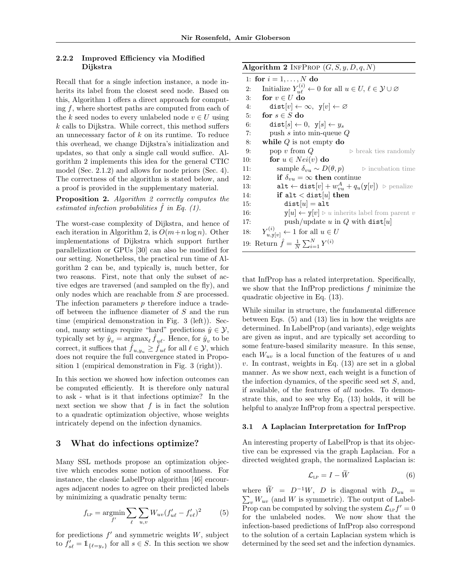#### 2.2.2 Improved Efficiency via Modified Dijkstra

Recall that for a single infection instance, a node inherits its label from the closest seed node. Based on this, Algorithm 1 offers a direct approach for computing f, where shortest paths are computed from each of the k seed nodes to every unlabeled node  $v \in U$  using  $k$  calls to Dijkstra. While correct, this method suffers an unnecessary factor of  $k$  on its runtime. To reduce this overhead, we change Dijkstra's initialization and updates, so that only a single call would suffice. Algorithm 2 implements this idea for the general CTIC model (Sec. 2.1.2) and allows for node priors (Sec. 4). The correctness of the algorithm is stated below, and a proof is provided in the supplementary material.

Proposition 2. Algorithm 2 correctly computes the estimated infection probabilities  $\hat{f}$  in Eq. (1).

The worst-case complexity of Dijkstra, and hence of each iteration in Algorithm 2, is  $O(m+n \log n)$ . Other implementations of Dijkstra which support further parallelization or GPUs [30] can also be modified for our setting. Nonetheless, the practical run time of Algorithm 2 can be, and typically is, much better, for two reasons. First, note that only the subset of active edges are traversed (and sampled on the fly), and only nodes which are reachable from S are processed. The infection parameters p therefore induce a tradeoff between the influence diameter of S and the run time (empirical demonstration in Fig. 3 (left)). Second, many settings require "hard" predictions  $\hat{y} \in \mathcal{Y}$ , typically set by  $\hat{y}_v = \operatorname{argmax}_{\ell} \hat{f}_{u\ell}$ . Hence, for  $\hat{y}_v$  to be correct, it suffices that  $f_{u,y_u} \geq f_{u\ell}$  for all  $\ell \in \mathcal{Y}$ , which does not require the full convergence stated in Proposition 1 (empirical demonstration in Fig. 3 (right)).

In this section we showed how infection outcomes can be computed efficiently. It is therefore only natural to ask - what is it that infections optimize? In the next section we show that  $f$  is in fact the solution to a quadratic optimization objective, whose weights intricately depend on the infection dynamics.

#### 3 What do infections optimize?

Many SSL methods propose an optimization objective which encodes some notion of smoothness. For instance, the classic LabelProp algorithm [46] encourages adjacent nodes to agree on their predicted labels by minimizing a quadratic penalty term:

$$
f_{LP} = \underset{f'}{\text{argmin}} \sum_{\ell} \sum_{u,v} W_{uv} (f'_{u\ell} - f'_{v\ell})^2 \tag{5}
$$

for predictions  $f'$  and symmetric weights  $W$ , subject to  $f'_{s\ell} = \mathbb{1}_{\{\ell = y_s\}}$  for all  $s \in S$ . In this section we show

#### Algorithm 2 INFPROP  $(G, S, y, D, q, N)$

|     | 1: for $i = 1, , N$ do                                                                                |
|-----|-------------------------------------------------------------------------------------------------------|
| 2:  | Initialize $Y_{u\ell}^{(i)} \leftarrow 0$ for all $u \in U, \, \ell \in \mathcal{Y} \cup \varnothing$ |
| 3:  | for $v \in U$ do                                                                                      |
| 4:  | $dist[v] \leftarrow \infty, y[v] \leftarrow \varnothing$                                              |
| 5:  | for $s \in S$ do                                                                                      |
| 6:  | $dist[s] \leftarrow 0, y[s] \leftarrow y_s$                                                           |
| 7:  | push s into min-queue $Q$                                                                             |
| 8:  | while $Q$ is not empty do                                                                             |
| 9:  | pop $v$ from $Q$<br>$\triangleright$ break ties randomly                                              |
| 10: | for $u \in Nei(v)$ do                                                                                 |
| 11: | sample $\delta_{vu} \sim D(\theta, p)$ $\Rightarrow$ incubation time                                  |
| 12: | if $\delta_{vu} = \infty$ then continue                                                               |
| 13: | $\mathtt{alt} \leftarrow \mathtt{dist}[v] + w_{vu}^A + q_u(y[v])$ $\triangleright$ penalize           |
| 14: | if alt $<$ dist[u] then                                                                               |
| 15: | $dist[u] = alt$                                                                                       |
| 16: | $y[u] \leftarrow y[v] \triangleright u$ inherits label from parent v                                  |
| 17: | push/update u in Q with dist[u]                                                                       |
| 18: | $Y_{u, \mathbf{v}[v]}^{(i)} \leftarrow 1$ for all $u \in U$                                           |
|     | 19: Return $\hat{f} = \frac{1}{N} \sum_{i=1}^{N} Y^{(i)}$                                             |

that InfProp has a related interpretation. Specifically, we show that the InfProp predictions  $f$  minimize the quadratic objective in Eq. (13).

While similar in structure, the fundamental difference between Eqs. (5) and (13) lies in how the weights are determined. In LabelProp (and variants), edge weights are given as input, and are typically set according to some feature-based similarity measure. In this sense, each  $W_{uv}$  is a local function of the features of u and  $v$ . In contrast, weights in Eq.  $(13)$  are set in a global manner. As we show next, each weight is a function of the infection dynamics, of the specific seed set  $S$ , and, if available, of the features of all nodes. To demonstrate this, and to see why Eq. (13) holds, it will be helpful to analyze InfProp from a spectral perspective.

#### 3.1 A Laplacian Interpretation for InfProp

An interesting property of LabelProp is that its objective can be expressed via the graph Laplacian. For a directed weighted graph, the normalized Laplacian is:

$$
\mathcal{L}_{LP} = I - \tilde{W} \tag{6}
$$

 $\sum_{v} W_{uv}$  (and W is symmetric). The output of Labelwhere  $\widetilde{W} = D^{-1}W$ , D is diagonal with  $D_{uu} =$ Prop can be computed by solving the system  $\mathcal{L}_{\text{LP}}f' = 0$ for the unlabeled nodes. We now show that the infection-based predictions of InfProp also correspond to the solution of a certain Laplacian system which is determined by the seed set and the infection dynamics.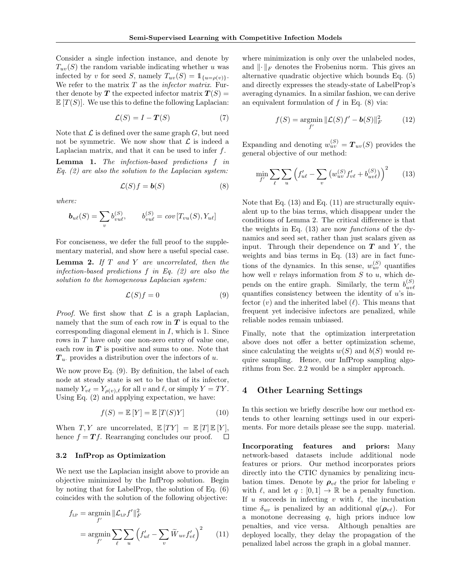Consider a single infection instance, and denote by  $T_{uv}(S)$  the random variable indicating whether u was infected by v for seed S, namely  $T_{uv}(S) = \mathbb{1}_{\{u=\rho(v)\}}.$ We refer to the matrix  $T$  as the *infector matrix*. Further denote by T the expected infector matrix  $T(S)$  =  $\mathbb{E}[T(S)]$ . We use this to define the following Laplacian:

$$
\mathcal{L}(S) = I - \boldsymbol{T}(S) \tag{7}
$$

Note that  $\mathcal L$  is defined over the same graph  $G$ , but need not be symmetric. We now show that  $\mathcal L$  is indeed a Laplacian matrix, and that it can be used to infer  $f$ .

Lemma 1. The infection-based predictions f in Eq.  $(2)$  are also the solution to the Laplacian system:

$$
\mathcal{L}(S)f = \mathbf{b}(S) \tag{8}
$$

where:

$$
\mathbf{b}_{u\ell}(S) = \sum_{v} b_{vu\ell}^{(S)}, \qquad b_{vu\ell}^{(S)} = cov[T_{vu}(S), Y_{u\ell}]
$$

For conciseness, we defer the full proof to the supplementary material, and show here a useful special case.

**Lemma 2.** If  $T$  and  $Y$  are uncorrelated, then the infection-based predictions  $f$  in Eq. (2) are also the solution to the homogeneous Laplacian system:

$$
\mathcal{L}(S)f = 0\tag{9}
$$

*Proof.* We first show that  $\mathcal L$  is a graph Laplacian, namely that the sum of each row in  $T$  is equal to the corresponding diagonal element in I, which is 1. Since rows in T have only one non-zero entry of value one, each row in  $T$  is positive and sums to one. Note that  $T_u$  provides a distribution over the infectors of u.

We now prove Eq. (9). By definition, the label of each node at steady state is set to be that of its infector, namely  $Y_{\nu \ell} = Y_{\rho(\nu),\ell}$  for all v and  $\ell$ , or simply  $Y = TY$ . Using Eq. (2) and applying expectation, we have:

$$
f(S) = \mathbb{E}[Y] = \mathbb{E}[T(S)Y]
$$
 (10)

When  $T, Y$  are uncorrelated,  $\mathbb{E}[TY] = \mathbb{E}[T] \mathbb{E}[Y]$ , hence  $f = Tf$ . Rearranging concludes our proof.  $\Box$ 

#### 3.2 InfProp as Optimization

We next use the Laplacian insight above to provide an objective minimized by the InfProp solution. Begin by noting that for LabelProp, the solution of Eq. (6) coincides with the solution of the following objective:

$$
f_{\text{LP}} = \underset{f'}{\operatorname{argmin}} \, \|\mathcal{L}_{\text{LP}} f'\|_{F}^{2}
$$

$$
= \underset{f'}{\operatorname{argmin}} \sum_{\ell} \sum_{u} \left( f'_{u\ell} - \sum_{v} \widetilde{W}_{uv} f'_{v\ell} \right)^{2} \qquad (11)
$$

where minimization is only over the unlabeled nodes, and  $\|\cdot\|_F$  denotes the Frobenius norm. This gives an alternative quadratic objective which bounds Eq. (5) and directly expresses the steady-state of LabelProp's averaging dynamics. In a similar fashion, we can derive an equivalent formulation of  $f$  in Eq.  $(8)$  via:

$$
f(S) = \underset{f'}{\operatorname{argmin}} \|\mathcal{L}(S)f' - \mathbf{b}(S)\|_F^2 \tag{12}
$$

Expanding and denoting  $w_{uv}^{(S)} = T_{uv}(S)$  provides the general objective of our method:

$$
\min_{f'} \sum_{\ell} \sum_{u} \left( f'_{u\ell} - \sum_{v} \left( w_{uv}^{(S)} f'_{v\ell} + b_{uv\ell}^{(S)} \right) \right)^2 \tag{13}
$$

Note that Eq. (13) and Eq. (11) are structurally equivalent up to the bias terms, which disappear under the conditions of Lemma 2. The critical difference is that the weights in Eq. (13) are now functions of the dynamics and seed set, rather than just scalars given as input. Through their dependence on  $T$  and  $Y$ , the weights and bias terms in Eq. (13) are in fact functions of the dynamics. In this sense,  $w_{uv}^{(S)}$  quantifies how well  $v$  relays information from  $S$  to  $u$ , which depends on the entire graph. Similarly, the term  $b_{nn\ell}^{(S)}$  $uv\ell$ quantifies consistency between the identity of  $u$ 's infector  $(v)$  and the inherited label  $(\ell)$ . This means that frequent yet indecisive infectors are penalized, while reliable nodes remain unbiased.

Finally, note that the optimization interpretation above does not offer a better optimization scheme, since calculating the weights  $w(S)$  and  $b(S)$  would require sampling. Hence, our InfProp sampling algorithms from Sec. 2.2 would be a simpler approach.

## 4 Other Learning Settings

In this section we briefly describe how our method extends to other learning settings used in our experiments. For more details please see the supp. material.

Incorporating features and priors: Many network-based datasets include additional node features or priors. Our method incorporates priors directly into the CTIC dynamics by penalizing incubation times. Denote by  $\rho_{v\ell}$  the prior for labeling v with  $\ell$ , and let  $q : [0, 1] \to \mathbb{R}$  be a penalty function. If u succeeds in infecting v with  $\ell$ , the incubation time  $\delta_{uv}$  is penalized by an additional  $q(\boldsymbol{\rho}_{v\ell})$ . For a monotone decreasing  $q$ , high priors induce low penalties, and vice versa. Although penalties are deployed locally, they delay the propagation of the penalized label across the graph in a global manner.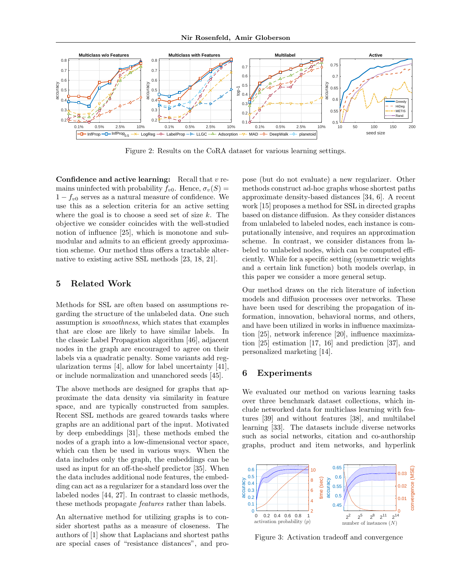

Figure 2: Results on the CoRA dataset for various learning settings.

Confidence and active learning: Recall that  $v$  remains uninfected with probability  $f_{v0}$ . Hence,  $\sigma_v(S)$  =  $1 - f_{v0}$  serves as a natural measure of confidence. We use this as a selection criteria for an active setting where the goal is to choose a seed set of size  $k$ . The objective we consider coincides with the well-studied notion of influence [25], which is monotone and submodular and admits to an efficient greedy approximation scheme. Our method thus offers a tractable alternative to existing active SSL methods [23, 18, 21].

#### 5 Related Work

Methods for SSL are often based on assumptions regarding the structure of the unlabeled data. One such assumption is smoothness, which states that examples that are close are likely to have similar labels. In the classic Label Propagation algorithm [46], adjacent nodes in the graph are encouraged to agree on their labels via a quadratic penalty. Some variants add regularization terms [4], allow for label uncertainty [41], or include normalization and unanchored seeds [45].

The above methods are designed for graphs that approximate the data density via similarity in feature space, and are typically constructed from samples. Recent SSL methods are geared towards tasks where graphs are an additional part of the input. Motivated by deep embeddings [31], these methods embed the nodes of a graph into a low-dimensional vector space, which can then be used in various ways. When the data includes only the graph, the embeddings can be used as input for an off-the-shelf predictor [35]. When the data includes additional node features, the embedding can act as a regularizer for a standard loss over the labeled nodes [44, 27]. In contrast to classic methods, these methods propagate features rather than labels.

An alternative method for utilizing graphs is to consider shortest paths as a measure of closeness. The authors of [1] show that Laplacians and shortest paths are special cases of "resistance distances", and propose (but do not evaluate) a new regularizer. Other methods construct ad-hoc graphs whose shortest paths approximate density-based distances [34, 6]. A recent work [15] proposes a method for SSL in directed graphs based on distance diffusion. As they consider distances from unlabeled to labeled nodes, each instance is computationally intensive, and requires an approximation scheme. In contrast, we consider distances from labeled to unlabeled nodes, which can be computed efficiently. While for a specific setting (symmetric weights and a certain link function) both models overlap, in this paper we consider a more general setup.

Our method draws on the rich literature of infection models and diffusion processes over networks. These have been used for describing the propagation of information, innovation, behavioral norms, and others, and have been utilized in works in influence maximization [25], network inference [20], influence maximization [25] estimation [17, 16] and prediction [37], and personalized marketing [14].

## 6 Experiments

We evaluated our method on various learning tasks over three benchmark dataset collections, which include networked data for multiclass learning with features [39] and without features [38], and multilabel learning [33]. The datasets include diverse networks such as social networks, citation and co-authorship graphs, product and item networks, and hyperlink



Figure 3: Activation tradeoff and convergence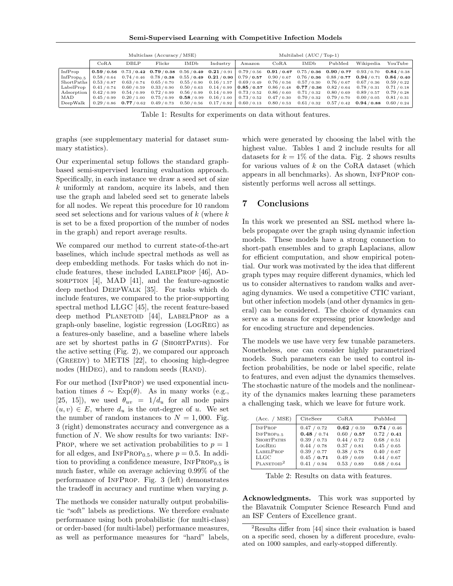Semi-Supervised Learning with Competitive Infection Models

|                        | Multiclass (Accuracy / MSE) |                         |           |                         |                                                                         | Multilabel (AUC / Top-1) |                                                                                                                                      |             |                 |                 |             |
|------------------------|-----------------------------|-------------------------|-----------|-------------------------|-------------------------------------------------------------------------|--------------------------|--------------------------------------------------------------------------------------------------------------------------------------|-------------|-----------------|-----------------|-------------|
|                        | CoRA                        | DBLP                    | Flickr    | IMDb                    | Industry                                                                | Amazon                   | CoRA                                                                                                                                 | <b>IMDb</b> | PubMed          | Wikipedia       | YouTube     |
| InfProp                |                             |                         |           |                         |                                                                         |                          | $(0.59/0.56$ $0.73/0.42$ $0.79/0.38$ $0.56/0.49$ $0.21/0.91$ $0.79/0.56$ $0.91/0.67$ $0.75/0.36$ $0.90/0.77$ $0.93/0.70$ $0.84/0.38$ |             |                 |                 |             |
| InfProp <sub>0.5</sub> |                             |                         |           |                         |                                                                         |                          | $0.58/0.64$ $0.74/0.46$ $0.78/0.38$ $0.55/0.49$ $0.21/0.90$ $0.79/0.57$ $0.90/0.67$ $0.76/0.36$ $0.88/0.77$ $0.94/0.71$ $0.84/0.40$  |             |                 |                 |             |
| ShortPaths             | 0.53/0.87                   | 0.63/0.74               |           | $0.65/0.70$ $0.55/0.90$ | $0.16 / 1.57$ 0.69 / 0.49                                               |                          | 0.76/0.56                                                                                                                            | 0.57/0.30   | 0.76/0.67       | 0.67/0.36       | 0.59/0.22   |
| LabelProp              |                             | $0.41/0.74$ $0.60/0.59$ | 0.33/0.90 |                         |                                                                         |                          | $0.50/0.63$ $0.14/0.99$ $0.85/0.57$ $0.86/0.48$ $0.77/0.36$                                                                          |             | $0.82$ / $0.64$ | 0.78/0.31       | 0.71/0.18   |
| Adsorption             | 0.42/0.99                   | 0.54/0.99               | 0.72/0.99 | 0.56/0.99               | $0.14/0.99$ 0.73/0.52                                                   |                          | 0.86/0.60                                                                                                                            | 0.71/0.32   | 0.80/0.69       | 0.89/0.57       | 0.79/0.28   |
| MAD                    | 0.45/0.99                   | 0.20 / 1.00             |           |                         | $0.75/0.99$ $0.58/0.99$ $0.16/1.00$ $0.73/0.52$                         |                          | 0.47/0.30                                                                                                                            | 0.70/0.32   | 0.79/0.70       | 0.00 / 0.05     | 0.81/0.31   |
| DeepWalk               |                             |                         |           |                         | $0.29/0.86$ 0.77 / 0.62 0.49 / 0.73 0.50 / 0.56 0.17 / 0.92 0.60 / 0.13 |                          | $0.80/0.53$ $0.61/0.32$ $0.57/0.42$                                                                                                  |             |                 | $0.94$ / $0.88$ | 0.60 / 0.24 |

Table 1: Results for experiments on data without features.

graphs (see supplementary material for dataset summary statistics).

Our experimental setup follows the standard graphbased semi-supervised learning evaluation approach. Specifically, in each instance we draw a seed set of size k uniformly at random, acquire its labels, and then use the graph and labeled seed set to generate labels for all nodes. We repeat this procedure for 10 random seed set selections and for various values of  $k$  (where  $k$ is set to be a fixed proportion of the number of nodes in the graph) and report average results.

We compared our method to current state-of-the-art baselines, which include spectral methods as well as deep embedding methods. For tasks which do not include features, these included LABELPROP  $[46]$ , ADsorption  $[4]$ , MAD  $[41]$ , and the feature-agnostic deep method DeepWalk [35]. For tasks which do include features, we compared to the prior-supporting spectral method LLGC [45], the recent feature-based deep method PLANETOID [44], LABELPROP as a graph-only baseline, logistic regression (LogReg) as a features-only baseline, and a baseline where labels are set by shortest paths in  $G$  (SHORTPATHS). For the active setting (Fig. 2), we compared our approach (Greedy) to METIS [22], to choosing high-degree nodes (HIDEG), and to random seeds (RAND).

For our method (INFPROP) we used exponential incubation times  $\delta \sim \text{Exp}(\theta)$ . As in many works (e.g., [25, 15]), we used  $\theta_{uv} = 1/d_u$  for all node pairs  $(u, v) \in E$ , where  $d_u$  is the out-degree of u. We set the number of random instances to  $N = 1,000$ . Fig. 3 (right) demonstrates accuracy and convergence as a function of  $N$ . We show results for two variants: INF-PROP, where we set activation probabilities to  $p = 1$ for all edges, and  $INFPROP_{0.5}$ , where  $p = 0.5$ . In addition to providing a confidence measure,  $INFPROP_{0.5}$  is much faster, while on average achieving 0.99% of the performance of INFPROP. Fig. 3 (left) demonstrates the tradeoff in accuracy and runtime when varying p.

The methods we consider naturally output probabilistic "soft" labels as predictions. We therefore evaluate performance using both probabilistic (for multi-class) or order-based (for multi-label) performance measures, as well as performance measures for "hard" labels,

which were generated by choosing the label with the highest value. Tables 1 and 2 include results for all datasets for  $k = 1\%$  of the data. Fig. 2 shows results for various values of  $k$  on the CoRA dataset (which appears in all benchmarks). As shown, INFPROP consistently performs well across all settings.

## 7 Conclusions

In this work we presented an SSL method where labels propagate over the graph using dynamic infection models. These models have a strong connection to short-path ensembles and to graph Laplacians, allow for efficient computation, and show empirical potential. Our work was motivated by the idea that different graph types may require different dynamics, which led us to consider alternatives to random walks and averaging dynamics. We used a competitive CTIC variant, but other infection models (and other dynamics in general) can be considered. The choice of dynamics can serve as a means for expressing prior knowledge and for encoding structure and dependencies.

The models we use have very few tunable parameters. Nonetheless, one can consider highly parametrized models. Such parameters can be used to control infection probabilities, be node or label specific, relate to features, and even adjust the dynamics themselves. The stochastic nature of the models and the nonlinearity of the dynamics makes learning these parameters a challenging task, which we leave for future work.

| (Acc. / MSE)           | CiteSeer    | CoRA        | PubMed      |
|------------------------|-------------|-------------|-------------|
| <b>INFPROP</b>         | 0.47 / 0.72 | 0.62 / 0.59 | 0.74 / 0.46 |
| INFPROP <sub>0.5</sub> | 0.48 / 0.74 | 0.60 / 0.57 | 0.72 / 0.41 |
| <b>SHORTPATHS</b>      | 0.39 / 0.73 | 0.44 / 0.72 | 0.68 / 0.51 |
| LOGREG                 | 0.44 / 0.78 | 0.37 / 0.81 | 0.45 / 0.65 |
| <b>LABELPROP</b>       | 0.39 / 0.77 | 0.38 / 0.78 | 0.40 / 0.67 |
| LLGC                   | 0.45 / 0.71 | 0.49 / 0.69 | 0.44 / 0.67 |
| PLANETOID <sup>2</sup> | 0.41 / 0.94 | 0.53 / 0.89 | 0.68 / 0.64 |

Table 2: Results on data with features.

Acknowledgments. This work was supported by the Blavatnik Computer Science Research Fund and an ISF Centers of Excellence grant.

 ${}^{2}$ Results differ from [44] since their evaluation is based on a specific seed, chosen by a different procedure, evaluated on 1000 samples, and early-stopped differently.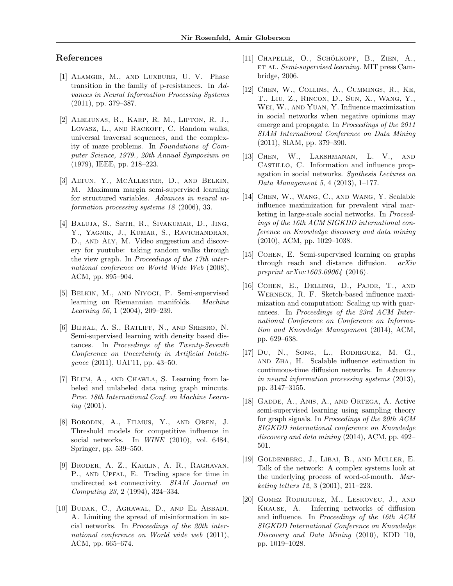## References

- [1] Alamgir, M., and Luxburg, U. V. Phase transition in the family of p-resistances. In Advances in Neural Information Processing Systems (2011), pp. 379–387.
- [2] Aleliunas, R., Karp, R. M., Lipton, R. J., LOVASZ, L., AND RACKOFF, C. Random walks, universal traversal sequences, and the complexity of maze problems. In Foundations of Computer Science, 1979., 20th Annual Symposium on (1979), IEEE, pp. 218–223.
- [3] Altun, Y., McAllester, D., and Belkin, M. Maximum margin semi-supervised learning for structured variables. Advances in neural information processing systems 18 (2006), 33.
- [4] Baluja, S., Seth, R., Sivakumar, D., Jing, Y., Yagnik, J., Kumar, S., Ravichandran, D., and Aly, M. Video suggestion and discovery for youtube: taking random walks through the view graph. In Proceedings of the 17th international conference on World Wide Web (2008), ACM, pp. 895–904.
- [5] Belkin, M., and Niyogi, P. Semi-supervised learning on Riemannian manifolds. Machine Learning 56, 1 (2004), 209–239.
- [6] Bijral, A. S., Ratliff, N., and Srebro, N. Semi-supervised learning with density based distances. In Proceedings of the Twenty-Seventh Conference on Uncertainty in Artificial Intelligence (2011), UAI'11, pp. 43–50.
- [7] Blum, A., and Chawla, S. Learning from labeled and unlabeled data using graph mincuts. Proc. 18th International Conf. on Machine Learn*ing*  $(2001)$ .
- [8] Borodin, A., Filmus, Y., and Oren, J. Threshold models for competitive influence in social networks. In *WINE* (2010), vol. 6484, Springer, pp. 539–550.
- [9] Broder, A. Z., Karlin, A. R., Raghavan, P., and Upfal, E. Trading space for time in undirected s-t connectivity. SIAM Journal on Computing 23, 2 (1994), 324–334.
- [10] Budak, C., Agrawal, D., and El Abbadi, A. Limiting the spread of misinformation in social networks. In Proceedings of the 20th international conference on World wide web (2011), ACM, pp. 665–674.
- $[11]$  CHAPELLE, O., SCHÖLKOPF, B., ZIEN, A., ET AL. Semi-supervised learning. MIT press Cambridge, 2006.
- [12] Chen, W., Collins, A., Cummings, R., Ke, T., Liu, Z., Rincon, D., Sun, X., Wang, Y., WEI, W., AND YUAN, Y. Influence maximization in social networks when negative opinions may emerge and propagate. In Proceedings of the 2011 SIAM International Conference on Data Mining (2011), SIAM, pp. 379–390.
- [13] Chen, W., Lakshmanan, L. V., and Castillo, C. Information and influence propagation in social networks. Synthesis Lectures on Data Management 5, 4 (2013), 1–177.
- [14] Chen, W., Wang, C., and Wang, Y. Scalable influence maximization for prevalent viral marketing in large-scale social networks. In Proceedings of the 16th ACM SIGKDD international conference on Knowledge discovery and data mining (2010), ACM, pp. 1029–1038.
- [15] Cohen, E. Semi-supervised learning on graphs through reach and distance diffusion. arXiv preprint arXiv:1603.09064 (2016).
- [16] Cohen, E., Delling, D., Pajor, T., and Werneck, R. F. Sketch-based influence maximization and computation: Scaling up with guarantees. In Proceedings of the 23rd ACM International Conference on Conference on Information and Knowledge Management (2014), ACM, pp. 629–638.
- [17] Du, N., Song, L., Rodriguez, M. G., and Zha, H. Scalable influence estimation in continuous-time diffusion networks. In Advances in neural information processing systems (2013), pp. 3147–3155.
- [18] Gadde, A., Anis, A., and Ortega, A. Active semi-supervised learning using sampling theory for graph signals. In Proceedings of the 20th ACM SIGKDD international conference on Knowledge discovery and data mining (2014), ACM, pp. 492– 501.
- [19] Goldenberg, J., Libai, B., and Muller, E. Talk of the network: A complex systems look at the underlying process of word-of-mouth. Marketing letters 12, 3 (2001), 211–223.
- [20] Gomez Rodriguez, M., Leskovec, J., and Krause, A. Inferring networks of diffusion and influence. In Proceedings of the 16th ACM SIGKDD International Conference on Knowledge Discovery and Data Mining (2010), KDD '10, pp. 1019–1028.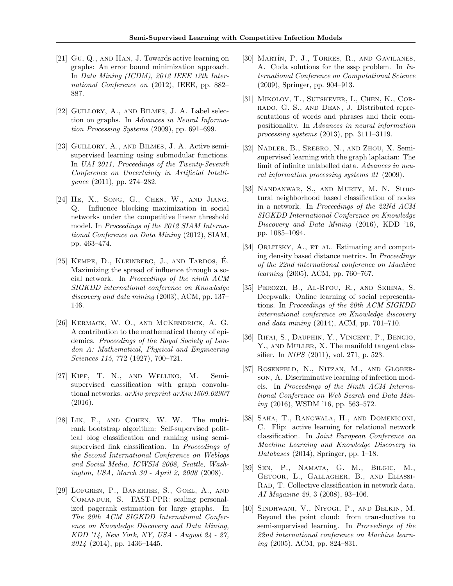- [21] Gu, Q., and Han, J. Towards active learning on graphs: An error bound minimization approach. In Data Mining (ICDM), 2012 IEEE 12th International Conference on (2012), IEEE, pp. 882– 887.
- [22] Guillory, A., and Bilmes, J. A. Label selection on graphs. In Advances in Neural Information Processing Systems (2009), pp. 691–699.
- [23] GUILLORY, A., AND BILMES, J. A. Active semisupervised learning using submodular functions. In UAI 2011, Proceedings of the Twenty-Seventh Conference on Uncertainty in Artificial Intelligence (2011), pp. 274–282.
- [24] He, X., Song, G., Chen, W., and Jiang, Q. Influence blocking maximization in social networks under the competitive linear threshold model. In Proceedings of the 2012 SIAM International Conference on Data Mining (2012), SIAM, pp. 463–474.
- [25] KEMPE, D., KLEINBERG, J., AND TARDOS, E. Maximizing the spread of influence through a social network. In Proceedings of the ninth ACM SIGKDD international conference on Knowledge discovery and data mining (2003), ACM, pp. 137– 146.
- [26] Kermack, W. O., and McKendrick, A. G. A contribution to the mathematical theory of epidemics. Proceedings of the Royal Society of London A: Mathematical, Physical and Engineering Sciences 115, 772 (1927), 700–721.
- [27] Kipf, T. N., and Welling, M. Semisupervised classification with graph convolutional networks. arXiv preprint arXiv:1609.02907 (2016).
- [28] Lin, F., and Cohen, W. W. The multirank bootstrap algorithm: Self-supervised political blog classification and ranking using semisupervised link classification. In Proceedings of the Second International Conference on Weblogs and Social Media, ICWSM 2008, Seattle, Washington, USA, March 30 - April 2, 2008 (2008).
- [29] Lofgren, P., Banerjee, S., Goel, A., and Comandur, S. FAST-PPR: scaling personalized pagerank estimation for large graphs. In The 20th ACM SIGKDD International Conference on Knowledge Discovery and Data Mining, KDD '14, New York, NY, USA - August 24 - 27, 2014 (2014), pp. 1436–1445.
- [30] MARTÍN, P. J., TORRES, R., AND GAVILANES, A. Cuda solutions for the sssp problem. In International Conference on Computational Science (2009), Springer, pp. 904–913.
- [31] Mikolov, T., Sutskever, I., Chen, K., Corrado, G. S., and Dean, J. Distributed representations of words and phrases and their compositionality. In Advances in neural information processing systems (2013), pp. 3111–3119.
- [32] Nadler, B., Srebro, N., and Zhou, X. Semisupervised learning with the graph laplacian: The limit of infinite unlabelled data. Advances in neural information processing systems 21 (2009).
- [33] Nandanwar, S., and Murty, M. N. Structural neighborhood based classification of nodes in a network. In Proceedings of the 22Nd ACM SIGKDD International Conference on Knowledge Discovery and Data Mining (2016), KDD '16, pp. 1085–1094.
- [34] ORLITSKY, A., ET AL. Estimating and computing density based distance metrics. In Proceedings of the 22nd international conference on Machine learning (2005), ACM, pp. 760–767.
- [35] Perozzi, B., Al-Rfou, R., and Skiena, S. Deepwalk: Online learning of social representations. In Proceedings of the 20th ACM SIGKDD international conference on Knowledge discovery and data mining (2014), ACM, pp. 701–710.
- [36] Rifai, S., Dauphin, Y., Vincent, P., Bengio, Y., AND MULLER, X. The manifold tangent classifier. In NIPS (2011), vol. 271, p. 523.
- [37] Rosenfeld, N., Nitzan, M., and Globerson, A. Discriminative learning of infection models. In Proceedings of the Ninth ACM International Conference on Web Search and Data Mining (2016), WSDM '16, pp. 563–572.
- [38] Saha, T., Rangwala, H., and Domeniconi, C. Flip: active learning for relational network classification. In Joint European Conference on Machine Learning and Knowledge Discovery in Databases (2014), Springer, pp. 1–18.
- [39] Sen, P., Namata, G. M., Bilgic, M., Getoor, L., Gallagher, B., and Eliassi-RAD, T. Collective classification in network data. AI Magazine 29, 3 (2008), 93–106.
- [40] Sindhwani, V., Niyogi, P., and Belkin, M. Beyond the point cloud: from transductive to semi-supervised learning. In Proceedings of the 22nd international conference on Machine learning (2005), ACM, pp. 824–831.